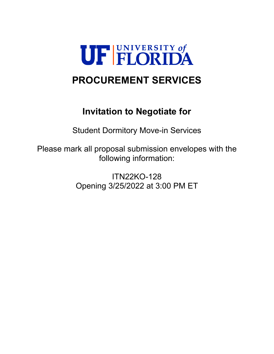

# **PROCUREMENT SERVICES**

# **Invitation to Negotiate for**

Student Dormitory Move-in Services

Please mark all proposal submission envelopes with the following information:

> ITN22KO-128 Opening 3/25/2022 at 3:00 PM ET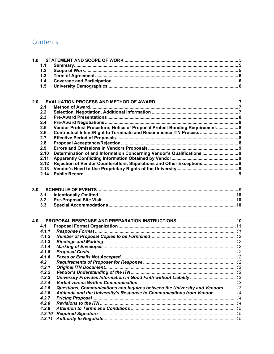# Contents

| 1.0 |        |                                                                              |  |
|-----|--------|------------------------------------------------------------------------------|--|
|     | 1.1    |                                                                              |  |
|     | 1.2    |                                                                              |  |
|     | 1.3    |                                                                              |  |
|     | 1.4    |                                                                              |  |
|     | 1.5    |                                                                              |  |
|     |        |                                                                              |  |
|     |        |                                                                              |  |
| 2.0 |        |                                                                              |  |
|     | 2.1    |                                                                              |  |
|     | 2.2    |                                                                              |  |
|     | 2.3    |                                                                              |  |
|     | 2.4    |                                                                              |  |
|     | 2.5    | Vendor Protest Procedure; Notice of Proposal Protest Bonding Requirement 8   |  |
|     | 2.6    | Contractual Intent/Right to Terminate and Recommence ITN Process  8          |  |
|     | 2.7    |                                                                              |  |
|     | 2.8    |                                                                              |  |
|     | 2.9    |                                                                              |  |
|     | 2.10   | Determination of and Information Concerning Vendor's Qualifications  9       |  |
|     | 2.11   |                                                                              |  |
|     | 2.12   | Rejection of Vendor Counteroffers, Stipulations and Other Exceptions 9       |  |
|     | 2.13   |                                                                              |  |
|     | 2.14   |                                                                              |  |
|     |        |                                                                              |  |
|     |        |                                                                              |  |
| 3.0 |        |                                                                              |  |
|     | 3.1    |                                                                              |  |
|     | 3.2    |                                                                              |  |
|     | 3.3    |                                                                              |  |
|     |        |                                                                              |  |
|     |        |                                                                              |  |
| 4.0 |        |                                                                              |  |
|     | 4.1    |                                                                              |  |
|     | 4.1.1  |                                                                              |  |
|     | 4.1.2  |                                                                              |  |
|     | 4.1.3  |                                                                              |  |
|     | 4.1.4  |                                                                              |  |
|     | 4.1.5  |                                                                              |  |
|     | 4.1.6  |                                                                              |  |
|     | 4.2    |                                                                              |  |
|     | 4.2.1  |                                                                              |  |
|     | 4.2.2  |                                                                              |  |
|     | 4.2.3  |                                                                              |  |
|     | 4.2.4  |                                                                              |  |
|     | 4.2.5  | Questions, Communications and Inquires between the University and Vendors 13 |  |
|     | 4.2.6  | Addenda and the University's Response to Communications from Vendor  14      |  |
|     | 4.2.7  |                                                                              |  |
|     | 4.2.8  |                                                                              |  |
|     | 4.2.9  |                                                                              |  |
|     | 4.2.10 |                                                                              |  |
|     |        |                                                                              |  |
|     |        |                                                                              |  |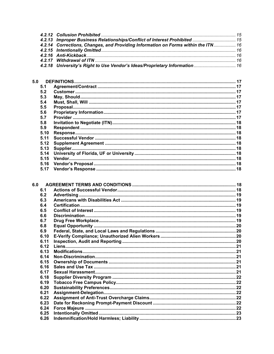| 4.2.13 Improper Business Relationships/Conflict of Interest Prohibited  15        |  |
|-----------------------------------------------------------------------------------|--|
| 4.2.14 Corrections, Changes, and Providing Information on Forms within the ITN 16 |  |
|                                                                                   |  |
|                                                                                   |  |
|                                                                                   |  |
| 4.2.18 University's Right to Use Vendor's Ideas/Proprietary Information  16       |  |

| 5.0  | <b>DEFINITIONS</b> |  |
|------|--------------------|--|
| 5.1  |                    |  |
| 5.2  |                    |  |
| 5.3  |                    |  |
| 5.4  |                    |  |
| 5.5  |                    |  |
| 5.6  |                    |  |
| 5.7  |                    |  |
| 5.8  |                    |  |
| 5.9  |                    |  |
| 5.10 |                    |  |
| 5.11 |                    |  |
| 5.12 |                    |  |
| 5.13 |                    |  |
| 5.14 |                    |  |
| 5.15 |                    |  |
| 5.16 |                    |  |
| 5.17 |                    |  |

| 6.0  |  |
|------|--|
| 6.1  |  |
| 6.2  |  |
| 6.3  |  |
| 6.4  |  |
| 6.5  |  |
| 6.6  |  |
| 6.7  |  |
| 6.8  |  |
| 6.9  |  |
| 6.10 |  |
| 6.11 |  |
| 6.12 |  |
| 6.13 |  |
| 6.14 |  |
| 6.15 |  |
| 6.16 |  |
| 6.17 |  |
| 6.18 |  |
| 6.19 |  |
| 6.20 |  |
| 6.21 |  |
| 6.22 |  |
| 6.23 |  |
| 6.24 |  |
| 6.25 |  |
| 6.26 |  |
|      |  |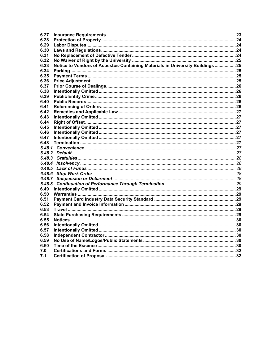| 6.27   |                                                                               |  |
|--------|-------------------------------------------------------------------------------|--|
| 6.28   |                                                                               |  |
| 6.29   |                                                                               |  |
| 6.30   |                                                                               |  |
| 6.31   |                                                                               |  |
| 6.32   |                                                                               |  |
| 6.33   | Notice to Vendors of Asbestos-Containing Materials in University Buildings 25 |  |
| 6.34   |                                                                               |  |
| 6.35   |                                                                               |  |
| 6.36   |                                                                               |  |
| 6.37   |                                                                               |  |
| 6.38   |                                                                               |  |
| 6.39   |                                                                               |  |
| 6.40   |                                                                               |  |
| 6.41   |                                                                               |  |
| 6.42   |                                                                               |  |
| 6.43   |                                                                               |  |
| 6.44   |                                                                               |  |
| 6.45   |                                                                               |  |
| 6.46   |                                                                               |  |
| 6.47   |                                                                               |  |
| 6.48   |                                                                               |  |
| 6.48.1 |                                                                               |  |
|        |                                                                               |  |
| 6.48.3 |                                                                               |  |
| 6.48.4 |                                                                               |  |
| 6.48.5 |                                                                               |  |
| 6.48.6 |                                                                               |  |
| 6.48.7 |                                                                               |  |
| 6.48.8 |                                                                               |  |
| 6.49   |                                                                               |  |
| 6.50   |                                                                               |  |
| 6.51   |                                                                               |  |
| 6.52   |                                                                               |  |
| 6.53   |                                                                               |  |
| 6.54   |                                                                               |  |
| 6.55   |                                                                               |  |
| 6.56   |                                                                               |  |
| 6.57   |                                                                               |  |
| 6.58   |                                                                               |  |
| 6.59   |                                                                               |  |
| 6.60   |                                                                               |  |
| 7.0    |                                                                               |  |
| 7.1    |                                                                               |  |
|        |                                                                               |  |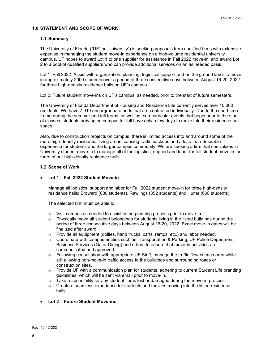#### <span id="page-4-0"></span>**1.0 STATEMENT AND SCOPE OF WORK**

#### <span id="page-4-1"></span>**1.1 Summary**

The University of Florida ("UF" or "University") is seeking proposals from qualified firms with extensive expertise in managing the student move-in experience on a high-volume residential university campus. UF hopes to award Lot 1 to one supplier for assistance in Fall 2022 move-in, and award Lot 2 to a pool of qualified suppliers who can provide additional services on an as needed basis.

Lot 1: Fall 2022. Assist with organization, planning, logistical support and on the ground labor to move in approximately 2000 students over a period of three consecutive days between August 16-20, 2022 for three high-density residence halls on UF's campus.

Lot 2: Future student move-ins on UF's campus, as needed, prior to the start of future semesters.

The University of Florida Department of Housing and Residence Life currently serves over 10,000 residents. We have 7,910 undergraduate beds that are contracted individually. Due to the short time frame during the summer and fall terms, as well as extracurricular events that begin prior to the start of classes, students arriving on campus for fall have only a few days to move into their residence hall space.

Also, due to construction projects on campus, there is limited access into and around some of the more high-density residential living areas, causing traffic backups and a less-than-desirable experience for students and the larger campus community. We are seeking a firm that specializes in University student move-in to manage all of the logistics, support and labor for fall student move in for three of our high-density residence halls.

#### <span id="page-4-2"></span>**1.2 Scope of Work**

#### • **Lot 1 – Fall 2022 Student Move-in**

Manage all logistics, support and labor for Fall 2022 student move-in for three high-density residence halls: Broward (680 students), Rawlings (352 students) and Hume (608 students).

The selected firm must be able to:

- o Visit campus as needed to assist in the planning process prior to move-in.
- $\circ$  Physically move all student belongings for students living in the listed buildings during the period of three consecutive days between August 16-20, 2022. Exact move-in dates will be finalized after award.
- o Provide all equipment (dollies, hand trucks, carts, ramps, etc.) and labor needed.
- $\circ$  Coordinate with campus entities such as Transportation & Parking, UF Police Department, Business Services (Gator Dining) and others to ensure that move-in activities are communicated and approved.
- $\circ$  Following consultation with appropriate UF Staff, manage the traffic flow in each area while still allowing non-move-in traffic access to the buildings and surrounding roads or construction sites.
- $\circ$  Provide UF with a communication plan for students, adhering to current Student Life branding guidelines, which will be sent via email prior to move-in.
- $\circ$  Take responsibility for any student items lost or damaged during the move-in process.
- $\circ$  Create a seamless experience for students and families moving into the listed residence halls.
- **Lot 2 – Future Student Move-ins**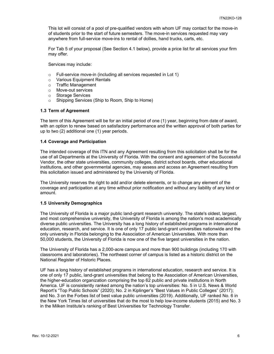This lot will consist of a pool of pre-qualified vendors with whom UF may contact for the move-in of students prior to the start of future semesters. The move-in services requested may vary anywhere from full-service move-ins to rental of dollies, hand trucks, carts, etc.

For Tab 5 of your proposal (See Section 4.1 below), provide a price list for all services your firm may offer.

Services may include:

- o Full-service move-in (including all services requested in Lot 1)
- o Various Equipment Rentals
- o Traffic Management
- o Move-out services
- o Storage Services
- o Shipping Services (Ship to Room, Ship to Home)

#### <span id="page-5-0"></span>**1.3 Term of Agreement**

The term of this Agreement will be for an initial period of one (1) year, beginning from date of award, with an option to renew based on satisfactory performance and the written approval of both parties for up to two (2) additional one (1) year periods.

#### <span id="page-5-1"></span>**1.4 Coverage and Participation**

The intended coverage of this ITN and any Agreement resulting from this solicitation shall be for the use of all Departments at the University of Florida. With the consent and agreement of the Successful Vendor, the other state universities, community colleges, district school boards, other educational institutions, and other governmental agencies, may assess and access an Agreement resulting from this solicitation issued and administered by the University of Florida.

The University reserves the right to add and/or delete elements, or to change any element of the coverage and participation at any time without prior notification and without any liability of any kind or amount.

# <span id="page-5-2"></span>**1.5 University Demographics**

The University of Florida is a major public land-grant research university. The state's oldest, largest, and most comprehensive university, the University of Florida is among the nation's most academically diverse public universities. The University has a long history of established programs in international education, research, and service. It is one of only 17 public land-grant universities nationwide and the only university in Florida belonging to the Association of American Universities. With more than 50,000 students, the University of Florida is now one of the five largest universities in the nation.

The University of Florida has a 2,000-acre campus and more than 900 buildings (including 170 with classrooms and laboratories). The northeast corner of campus is listed as a historic district on the National Register of Historic Places.

UF has a long history of established programs in international education, research and service. It is one of only 17 public, land-grant universities that belong to the Association of American Universities, the higher-education organization comprising the top 62 public and private institutions in North America. UF is consistently ranked among the nation's top universities: No. 5 in U.S. News & World Report's "Top Public Schools" (2020); No. 2 in Kiplinger's "Best Values in Public Colleges" (2017); and No. 3 on the Forbes list of best value public universities (2019). Additionally, UF ranked No. 6 in the New York Times list of universities that do the most to help low-income students (2015) and No. 3 in the Milken Institute's ranking of Best Universities for Technology Transfer.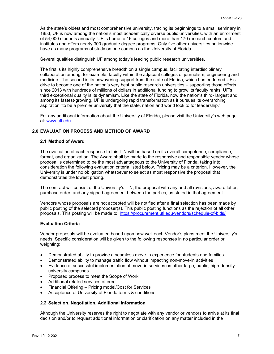As the state's oldest and most comprehensive university, tracing its beginnings to a small seminary in 1853, UF is now among the nation's most academically diverse public universities. with an enrollment of 54,000 students annually. UF is home to 16 colleges and more than 170 research centers and institutes and offers nearly 300 graduate degree programs. Only five other universities nationwide have as many programs of study on one campus as the University of Florida.

Several qualities distinguish UF among today's leading public research universities.

The first is its highly comprehensive breadth on a single campus, facilitating interdisciplinary collaboration among, for example, faculty within the adjacent colleges of journalism, engineering and medicine. The second is its unwavering support from the state of Florida, which has endorsed UF's drive to become one of the nation's very best public research universities – supporting those efforts since 2013 with hundreds of millions of dollars in additional funding to grow its faculty ranks. UF's third exceptional quality is its dynamism. Like the state of Florida, now the nation's third- largest and among its fastest-growing, UF is undergoing rapid transformation as it pursues its overarching aspiration "to be a premier university that the state, nation and world look to for leadership."

For any additional information about the University of Florida, please visit the University's web page at: [www.ufl.edu.](http://www.ufl.edu/)

# <span id="page-6-0"></span>**2.0 EVALUATION PROCESS AND METHOD OF AWARD**

#### <span id="page-6-1"></span>**2.1 Method of Award**

The evaluation of each response to this ITN will be based on its overall competence, compliance, format, and organization. The Award shall be made to the responsive and responsible vendor whose proposal is determined to be the most advantageous to the University of Florida, taking into consideration the following evaluation criteria listed below. Pricing may be a criterion. However, the University is under no obligation whatsoever to select as most responsive the proposal that demonstrates the lowest pricing.

The contract will consist of the University's ITN, the proposal with any and all revisions, award letter, purchase order, and any signed agreement between the parties, as stated in that agreement.

Vendors whose proposals are not accepted will be notified after a final selection has been made by public posting of the selected proposer(s). This public posting functions as the rejection of all other proposals. This posting will be made to: <https://procurement.ufl.edu/vendors/schedule-of-bids/>

# **Evaluation Criteria**

Vendor proposals will be evaluated based upon how well each Vendor's plans meet the University's needs. Specific consideration will be given to the following responses in no particular order or weighting:

- Demonstrated ability to provide a seamless move-in experience for students and families
- Demonstrated ability to manage traffic flow without impacting non-move-in activities
- Evidence of successful implementation of move-in services on other large, public, high-density university campuses
- Proposed process to meet the Scope of Work
- Additional related services offered
- Financial Offering Pricing model/Cost for Services
- Acceptance of University of Florida terms & conditions

#### <span id="page-6-2"></span>**2.2 Selection, Negotiation, Additional Information**

Although the University reserves the right to negotiate with any vendor or vendors to arrive at its final decision and/or to request additional information or clarification on any matter included in the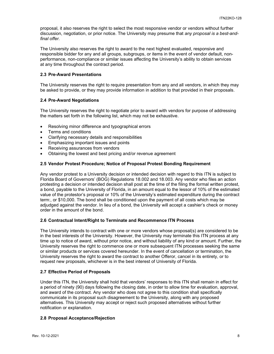proposal, it also reserves the right to select the most responsive vendor or vendors without further discussion, negotiation, or prior notice. The University may presume that *any proposal is a best-andfinal offer.*

The University also reserves the right to award to the next highest evaluated, responsive and responsible bidder for any and all groups, subgroups, or items in the event of vendor default, nonperformance, non-compliance or similar issues affecting the University's ability to obtain services at any time throughout the contract period.

# <span id="page-7-0"></span>**2.3 Pre-Award Presentations**

The University reserves the right to require presentation from any and all vendors, in which they may be asked to provide, or they may provide information in addition to that provided in their proposals.

# <span id="page-7-1"></span>**2.4 Pre-Award Negotiations**

The University reserves the right to negotiate prior to award with vendors for purpose of addressing the matters set forth in the following list, which may not be exhaustive.

- Resolving minor difference and typographical errors
- Terms and conditions
- Clarifying necessary details and responsibilities
- Emphasizing important issues and points
- Receiving assurances from vendors
- Obtaining the lowest and best pricing and/or revenue agreement

# <span id="page-7-2"></span>**2.5 Vendor Protest Procedure; Notice of Proposal Protest Bonding Requirement**

Any vendor protest to a University decision or intended decision with regard to this ITN is subject to Florida Board of Governors' (BOG) Regulations 18.002 and 18.003. Any vendor who files an action protesting a decision or intended decision shall post at the time of the filing the formal written protest, a bond, payable to the University of Florida, in an amount equal to the lessor of 10% of the estimated value of the protestor's proposal or 10% of the University's estimated expenditure during the contract term:, or \$10,000. The bond shall be conditioned upon the payment of all costs which may be adjudged against the vendor. In lieu of a bond, the University will accept a cashier's check or money order in the amount of the bond.

# <span id="page-7-3"></span>**2.6 Contractual Intent/Right to Terminate and Recommence ITN Process**

The University intends to contract with one or more vendors whose proposal(s) are considered to be in the best interests of the University. However, the University may terminate this ITN process at any time up to notice of award, without prior notice, and without liability of any kind or amount. Further, the University reserves the right to commence one or more subsequent ITN processes seeking the same or similar products or services covered hereunder. In the event of cancellation or termination, the University reserves the right to award the contract to another Offeror, cancel in its entirety, or to request new proposals, whichever is in the best interest of University of Florida.

# <span id="page-7-4"></span>**2.7 Effective Period of Proposals**

Under this ITN, the University shall hold that vendors' responses to this ITN shall remain in effect for a period of ninety (90) days following the closing date, in order to allow time for evaluation, approval, and award of the contract. Any vendor who does not agree to this condition shall specifically communicate in its proposal such disagreement to the University, along with any proposed alternatives. This University may accept or reject such proposed alternatives without further notification or explanation.

# <span id="page-7-5"></span>**2.8 Proposal Acceptance/Rejection**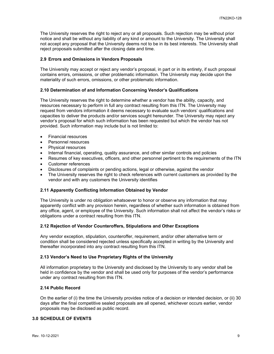The University reserves the right to reject any or all proposals. Such rejection may be without prior notice and shall be without any liability of any kind or amount to the University. The University shall not accept any proposal that the University deems not to be in its best interests. The University shall reject proposals submitted after the closing date and time.

# <span id="page-8-0"></span>**2.9 Errors and Omissions in Vendors Proposals**

The University may accept or reject any vendor's proposal, in part or in its entirety, if such proposal contains errors, omissions, or other problematic information. The University may decide upon the materiality of such errors, omissions, or other problematic information.

#### <span id="page-8-1"></span>**2.10 Determination of and Information Concerning Vendor's Qualifications**

The University reserves the right to determine whether a vendor has the ability, capacity, and resources necessary to perform in full any contract resulting from this ITN. The University may request from vendors information it deems necessary to evaluate such vendors' qualifications and capacities to deliver the products and/or services sought hereunder. The University may reject any vendor's proposal for which such information has been requested but which the vendor has not provided. Such information may include but is not limited to:

- Financial resources
- Personnel resources
- Physical resources
- Internal financial, operating, quality assurance, and other similar controls and policies
- Resumes of key executives, officers, and other personnel pertinent to the requirements of the ITN
- Customer references
- Disclosures of complaints or pending actions, legal or otherwise, against the vendor
- The University reserves the right to check references with current customers as provided by the vendor and with any customers the University identifies

#### <span id="page-8-2"></span>**2.11 Apparently Conflicting Information Obtained by Vendor**

The University is under no obligation whatsoever to honor or observe any information that may apparently conflict with any provision herein, regardless of whether such information is obtained from any office, agent, or employee of the University. Such information shall not affect the vendor's risks or obligations under a contract resulting from this ITN.

# <span id="page-8-3"></span>**2.12 Rejection of Vendor Counteroffers, Stipulations and Other Exceptions**

Any vendor exception, stipulation, counteroffer, requirement, and/or other alternative term or condition shall be considered rejected unless specifically accepted in writing by the University and thereafter incorporated into any contract resulting from this ITN.

# <span id="page-8-4"></span>**2.13 Vendor's Need to Use Proprietary Rights of the University**

All information proprietary to the University and disclosed by the University to any vendor shall be held in confidence by the vendor and shall be used only for purposes of the vendor's performance under any contract resulting from this ITN.

#### <span id="page-8-5"></span>**2.14 Public Record**

On the earlier of (i) the time the University provides notice of a decision or intended decision, or (ii) 30 days after the final competitive sealed proposals are all opened, whichever occurs earlier, vendor proposals may be disclosed as public record.

# <span id="page-8-6"></span>**3.0 SCHEDULE OF EVENTS**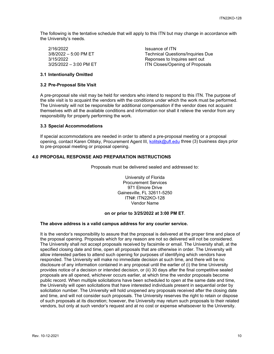The following is the tentative schedule that will apply to this ITN but may change in accordance with the University's needs.

2/16/2022 Issuance of ITN

3/8/2022 – 5:00 PM ET Technical Questions/Inquiries Due 3/15/2022<br>3/25/2022 - 3:00 PM ET TREPORTED TRIANS TO REPORT TRIANGULARY SALES SENTING CLOSES/Opening of Propos ITN Closes/Opening of Proposals

#### <span id="page-9-0"></span>**3.1 Intentionally Omitted**

#### <span id="page-9-1"></span>**3.2 Pre-Proposal Site Visit**

A pre-proposal site visit may be held for vendors who intend to respond to this ITN. The purpose of the site visit is to acquaint the vendors with the conditions under which the work must be performed. The University will not be responsible for additional compensation if the vendor does not acquaint themselves with all the available conditions and information nor shall it relieve the vendor from any responsibility for properly performing the work.

#### <span id="page-9-2"></span>**3.3 Special Accommodations**

If special accommodations are needed in order to attend a pre-proposal meeting or a proposal opening, contact Karen Olitsky, Procurement Agent III, [kolitsk@ufl.edu](mailto:kolitsk@ufl.edu) three (3) business days prior to pre-proposal meeting or proposal opening.

#### <span id="page-9-3"></span>**4.0 PROPOSAL RESPONSE AND PREPARATION INSTRUCTIONS**

Proposals must be delivered sealed and addressed to:

University of Florida Procurement Services 971 Elmore Drive Gainesville, FL 32611-5250 ITN#: ITN22KO-128 Vendor Name

# **on or prior to 3/25/2022 at 3:00 PM ET**.

#### **The above address is a valid campus address for any courier service.**

It is the vendor's responsibility to assure that the proposal is delivered at the proper time and place of the proposal opening. Proposals which for any reason are not so delivered will not be considered. The University shall not accept proposals received by facsimile or email. The University shall, at the specified closing date and time, open all proposals that are otherwise in order. The University will allow interested parties to attend such opening for purposes of identifying which vendors have responded. The University will make no immediate decision at such time, and there will be no disclosure of any information contained in any proposal until the earlier of (i) the time University provides notice of a decision or intended decision, or (ii) 30 days after the final competitive sealed proposals are all opened, whichever occurs earlier, at which time the vendor proposals become public record. When multiple solicitations have been scheduled to open at the same date and time, the University will open solicitations that have interested individuals present in sequential order by solicitation number. The University will hold unopened any proposals received after the closing date and time, and will not consider such proposals. The University reserves the right to retain or dispose of such proposals at its discretion; however, the University may return such proposals to their related vendors, but only at such vendor's request and at no cost or expense whatsoever to the University.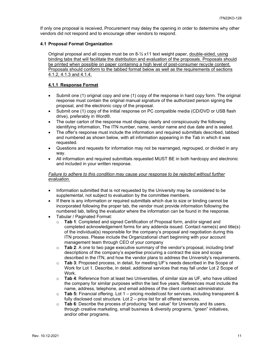If only one proposal is received, Procurement may delay the opening in order to determine why other vendors did not respond and to encourage other vendors to respond.

# <span id="page-10-0"></span>**4.1 Proposal Format Organization**

Original proposal and all copies must be on  $8\frac{1}{2}$  x11 text weight paper, double-sided, using binding tabs that will facilitate the distribution and evaluation of the proposals. Proposals should be printed when possible on paper containing a high level of post-consumer recycle content. Proposals should conform to the tabbed format below as well as the requirements of sections 4.1.2, 4.1.3 and 4.1.4.

# <span id="page-10-1"></span>**4.1.1 Response Format**

- Submit one (1) original copy and one (1) copy of the response in hard copy form. The original response must contain the original manual signature of the authorized person signing the proposal, and the electronic copy of the proposal.
- Submit one (1) copy of the initial response on PC compatible media (CD/DVD or USB flash drive), preferably in Word®.
- The outer carton of the response must display clearly and conspicuously the following identifying information, The ITN number, name, vendor name and due date and is sealed.
- The offer's response must include the information and required submittals described, tabbed and numbered as shown below, with all information appearing in the Tab in which it was requested.
- Questions and requests for information may not be rearranged, regrouped, or divided in any way.
- All information and required submittals requested MUST BE in both hardcopy and electronic and included in your written response.

# *Failure to adhere to this condition may cause your response to be rejected without further evaluation.*

- Information submitted that is not requested by the University may be considered to be supplemental, not subject to evaluation by the committee members.
- If there is any information or required submittals which due to size or binding cannot be incorporated following the proper tab, the vendor must provide information following the numbered tab, telling the evaluator where the information can be found in the response.
- Tabular / Paginated Format:
	- o **Tab 1**: Completed and signed Certification of Proposal form, and/or signed and completed acknowledgement forms for any addenda issued. Contact name(s) and title(s) of the individual(s) responsible for the company's proposal and negotiation during this ITN process. Please include the Organizational chart beginning with your account management team through CEO of your company
	- o **Tab 2**: A one to two page executive summary of the vendor's proposal, including brief descriptions of the company's expertise procuring a contract the size and scope described in the ITN, and how the vendor plans to address the University's requirements.
	- o **Tab 3**: Proposed process, in detail, for meeting UF's needs described in the Scope of Work for Lot 1. Describe, in detail, additional services that may fall under Lot 2 Scope of Work.
	- o **Tab 4**: Reference from at least two Universities, of similar size as UF, who have utilized the company for similar purposes within the last five years. References must include the name, address, telephone, and email address of the client contract administrator.
	- o **Tab 5:** Financial offering. Lot 1 pricing model/cost for services, including transparent & fully disclosed cost structure. Lot 2 – price list for all offered services.
	- o **Tab 6**: Describe the process of producing "best value" for University and its users, through creative marketing, small business & diversity programs, "green" initiatives, and/or other programs.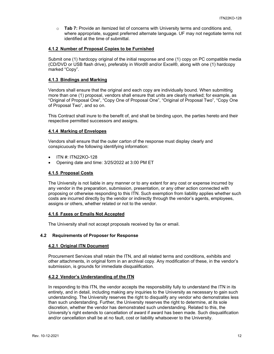o **Tab 7:** Provide an itemized list of concerns with University terms and conditions and, where appropriate, suggest preferred alternate language. UF may not negotiate terms not identified at the time of submittal.

# <span id="page-11-0"></span>**4.1.2 Number of Proposal Copies to be Furnished**

Submit one (1) hardcopy original of the initial response and one (1) copy on PC compatible media (CD/DVD or USB flash drive), preferably in Word® and/or Excel®, along with one (1) hardcopy marked "Copy".

# <span id="page-11-1"></span>**4.1.3 Bindings and Marking**

Vendors shall ensure that the original and each copy are individually bound. When submitting more than one (1) proposal, vendors shall ensure that units are clearly marked; for example, as "Original of Proposal One", "Copy One of Proposal One", "Original of Proposal Two", "Copy One of Proposal Two", and so on.

This Contract shall inure to the benefit of, and shall be binding upon, the parties hereto and their respective permitted successors and assigns.

# <span id="page-11-2"></span>**4.1.4 Marking of Envelopes**

Vendors shall ensure that the outer carton of the response must display clearly and conspicuously the following identifying information:

- ITN #: ITN22KO-128
- Opening date and time: 3/25/2022 at 3:00 PM ET

# <span id="page-11-3"></span>**4.1.5 Proposal Costs**

The University is not liable in any manner or to any extent for any cost or expense incurred by any vendor in the preparation, submission, presentation, or any other action connected with proposing or otherwise responding to this ITN. Such exemption from liability applies whether such costs are incurred directly by the vendor or indirectly through the vendor's agents, employees, assigns or others, whether related or not to the vendor.

# <span id="page-11-4"></span>**4.1.6 Faxes or Emails Not Accepted**

The University shall not accept proposals received by fax or email.

# <span id="page-11-6"></span><span id="page-11-5"></span>**4.2 Requirements of Proposer for Response**

# **4.2.1 Original ITN Document**

Procurement Services shall retain the ITN, and all related terms and conditions, exhibits and other attachments, in original form in an archival copy. Any modification of these, in the vendor's submission, is grounds for immediate disqualification.

# <span id="page-11-7"></span>**4.2.2 Vendor's Understanding of the ITN**

In responding to this ITN, the vendor accepts the responsibility fully to understand the ITN in its entirety, and in detail, including making any inquiries to the University as necessary to gain such understanding. The University reserves the right to disqualify any vendor who demonstrates less than such understanding. Further, the University reserves the right to determine, at its sole discretion, whether the vendor has demonstrated such understanding. Related to this, the University's right extends to cancellation of award if award has been made. Such disqualification and/or cancellation shall be at no fault, cost or liability whatsoever to the University.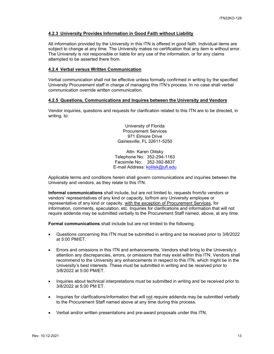#### <span id="page-12-0"></span>**4.2.3 University Provides Information in Good Faith without Liability**

All information provided by the University in this ITN is offered in good faith. Individual items are subject to change at any time. The University makes no certification that any item is without error. The University is not responsible or liable for any use of the information, or for any claims attempted to be asserted there from.

#### <span id="page-12-1"></span>**4.2.4 Verbal versus Written Communication**

Verbal communication shall not be effective unless formally confirmed in writing by the specified University Procurement staff in charge of managing this ITN's process. In no case shall verbal communication override written communication.

#### <span id="page-12-2"></span>**4.2.5 Questions, Communications and Inquires between the University and Vendors**

Vendor inquiries, questions and requests for clarification related to this ITN are to be directed, in writing, to:

> University of Florida Procurement Services 971 Elmore Drive Gainesville, FL 32611-5250

Attn: Karen Olitsky Telephone No: 352-294-1163 Facsimile No: 352-392-8837 E-mail Address: [kolitsk@ufl.edu](mailto:kolitsk@ufl.edu)

Applicable terms and conditions herein shall govern communications and inquiries between the University and vendors, as they relate to this ITN.

**Informal communications** shall include, but are not limited to, requests from/to vendors or vendors' representatives of any kind or capacity, to/from any University employee or representative of any kind or capacity, with the exception of Procurement Services, for information, comments, speculation, etc. Inquiries for clarifications and information that will not require addenda may be submitted verbally to the Procurement Staff named, above, at any time.

**Formal communications** shall include but are not limited to the following.

- Questions concerning this ITN must be submitted in writing and be received prior to 3/8/2022 at 5:00 PM/ET.
- Errors and omissions in this ITN and enhancements. Vendors shall bring to the University's attention any discrepancies, errors, or omissions that may exist within this ITN. Vendors shall recommend to the University any enhancements in respect to this ITN, which might be in the University's best interests. These must be submitted in writing and be received prior to 3/8/2022 at 5:00 PM/ET.
- Inquiries about technical interpretations must be submitted in writing and be received prior to 3/8/2022 at 5:00 PM ET.
- Inquiries for clarifications/information that will not require addenda may be submitted verbally to the Procurement Staff named above at any time during this process.
- Verbal and/or written presentations and pre-award proposals under this ITN.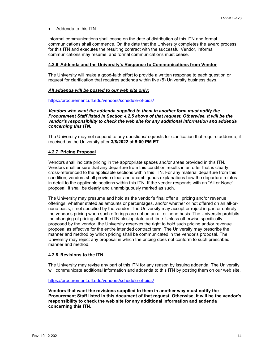• Addenda to this ITN.

Informal communications shall cease on the date of distribution of this ITN and formal communications shall commence. On the date that the University completes the award process for this ITN and executes the resulting contract with the successful Vendor, informal communications may resume, and formal communications must cease.

#### <span id="page-13-0"></span>**4.2.6 Addenda and the University's Response to Communications from Vendor**

The University will make a good-faith effort to provide a written response to each question or request for clarification that requires addenda within five (5) University business days.

#### *All addenda will be posted to our web site only:*

<https://procurement.ufl.edu/vendors/schedule-of-bids/>

*Vendors who want the addenda supplied to them in another form must notify the Procurement Staff listed in Section 4.2.5 above of that request. Otherwise, it will be the vendor's responsibility to check the web site for any additional information and addenda concerning this ITN.*

The University may not respond to any questions/requests for clarification that require addenda, if received by the University after **3/8/2022 at 5:00 PM ET**.

#### <span id="page-13-1"></span>**4.2.7 Pricing Proposal**

Vendors shall indicate pricing in the appropriate spaces and/or areas provided in this ITN. Vendors shall ensure that any departure from this condition results in an offer that is clearly cross-referenced to the applicable sections within this ITN. For any material departure from this condition, vendors shall provide clear and unambiguous explanations how the departure relates in detail to the applicable sections within this ITN. If the vendor responds with an "All or None" proposal, it shall be clearly and unambiguously marked as such.

The University may presume and hold as the vendor's final offer all pricing and/or revenue offerings, whether stated as amounts or percentages, and/or whether or not offered on an all-ornone basis, if not specified by the vendor. The University may accept or reject in part or entirely the vendor's pricing when such offerings are not on an all-or-none basis. The University prohibits the changing of pricing after the ITN closing date and time. Unless otherwise specifically proposed by the vendor, the University reserves the right to hold such pricing and/or revenue proposal as effective for the entire intended contract term. The University may prescribe the manner and method by which pricing shall be communicated in the vendor's proposal. The University may reject any proposal in which the pricing does not conform to such prescribed manner and method.

#### <span id="page-13-2"></span>**4.2.8 Revisions to the ITN**

The University may revise any part of this ITN for any reason by issuing addenda. The University will communicate additional information and addenda to this ITN by posting them on our web site.

<https://procurement.ufl.edu/vendors/schedule-of-bids/>

**Vendors that want the revisions supplied to them in another way must notify the Procurement Staff listed in this document of that request. Otherwise, it will be the vendor's responsibility to check the web site for any additional information and addenda concerning this ITN.**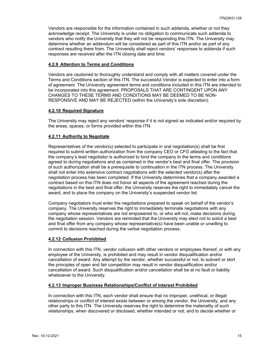Vendors are responsible for the information contained in such addenda, whether or not they acknowledge receipt. The University is under no obligation to communicate such addenda to vendors who notify the University that they will not be responding this ITN. The University may determine whether an addendum will be considered as part of this ITN and/or as part of any contract resulting there from. The University shall reject vendors' responses to addenda if such responses are received after the ITN closing date and time.

# <span id="page-14-0"></span>**4.2.9 Attention to Terms and Conditions**

Vendors are cautioned to thoroughly understand and comply with all matters covered under the Terms and Conditions section of this ITN. The successful Vendor is expected to enter into a form of agreement. The University agreement terms and conditions included in this ITN are intended to be incorporated into this agreement. PROPOSALS THAT ARE CONTINGENT UPON ANY CHANGES TO THESE TERMS AND CONDITIONS MAY BE DEEMED TO BE NON-RESPONSIVE AND MAY BE REJECTED (within the University's sole discretion).

# <span id="page-14-1"></span>**4.2.10 Required Signature**

The University may reject any vendors' response if it is not signed as indicated and/or required by the areas, spaces, or forms provided within this ITN.

# <span id="page-14-2"></span>**4.2.11 Authority to Negotiate**

Representatives of the vendor(s) selected to participate in oral negotiation(s) shall be first required to submit written authorization from the company CEO or CFO attesting to the fact that the company's lead negotiator is authorized to bind the company to the terms and conditions agreed to during negotiations and as contained in the vendor's best and final offer. The provision of such authorization shall be a prerequisite to continuation in the ITN process. The University shall not enter into extensive contract negotiations with the selected vendor(s) after the negotiation process has been completed. If the University determines that a company awarded a contract based on this ITN does not honor all aspects of the agreement reached during the negotiations in the best and final offer, the University reserves the right to immediately cancel the award, and to place the company on the University's suspended vendor list.

Company negotiators must enter the negotiations prepared to speak on behalf of the vendor's company. The University reserves the right to immediately terminate negotiations with any company whose representatives are not empowered to, or who will not, make decisions during the negotiation session. Vendors are reminded that the University may elect not to solicit a best and final offer from any company whose representative(s) have been unable or unwilling to commit to decisions reached during the verbal negotiation process.

# <span id="page-14-3"></span>**4.2.12 Collusion Prohibited**

In connection with this ITN, vendor collusion with other vendors or employees thereof, or with any employee of the University, is prohibited and may result in vendor disqualification and/or cancellation of award. Any attempt by the vendor, whether successful or not, to subvert or skirt the principles of open and fair competition may result in vendor disqualification and/or cancellation of award. Such disqualification and/or cancellation shall be at no fault or liability whatsoever to the University.

# <span id="page-14-4"></span>**4.2.13 Improper Business Relationships/Conflict of Interest Prohibited**

In connection with this ITN, each vendor shall ensure that no improper, unethical, or illegal relationships or conflict of interest exists between or among the vendor, the University, and any other party to this ITN. The University reserves the right to determine the materiality of such relationships, when discovered or disclosed, whether intended or not; and to decide whether or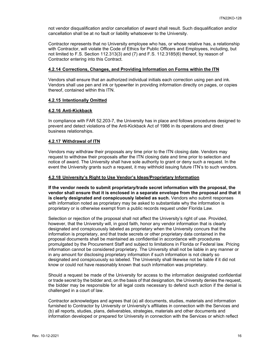not vendor disqualification and/or cancellation of award shall result. Such disqualification and/or cancellation shall be at no fault or liability whatsoever to the University.

Contractor represents that no University employee who has, or whose relative has, a relationship with Contractor, will violate the Code of Ethics for Public Officers and Employees, including, but not limited to F.S. Section 112.313(3) and (7) and F.S. 112.3185(6) thereof, by reason of Contractor entering into this Contract.

# <span id="page-15-0"></span>**4.2.14 Corrections, Changes, and Providing Information on Forms within the ITN**

Vendors shall ensure that an authorized individual initials each correction using pen and ink. Vendors shall use pen and ink or typewriter in providing information directly on pages, or copies thereof, contained within this ITN.

#### <span id="page-15-1"></span>**4.2.15 Intentionally Omitted**

#### <span id="page-15-2"></span>**4.2.16 Anti-Kickback**

In compliance with FAR 52.203-7, the University has in place and follows procedures designed to prevent and detect violations of the Anti-Kickback Act of 1986 in its operations and direct business relationships.

# <span id="page-15-3"></span>**4.2.17 Withdrawal of ITN**

Vendors may withdraw their proposals any time prior to the ITN closing date. Vendors may request to withdraw their proposals after the ITN closing date and time prior to selection and notice of award. The University shall have sole authority to grant or deny such a request. In the event the University grants such a request, it may withhold issuing future ITN's to such vendors.

#### <span id="page-15-4"></span>**4.2.18 University's Right to Use Vendor's Ideas/Proprietary Information**

**If the vendor needs to submit proprietary/trade secret information with the proposal, the vendor shall ensure that it is enclosed in a separate envelope from the proposal and that it is clearly designated and conspicuously labeled as such.** Vendors who submit responses with information noted as proprietary may be asked to substantiate why the information is proprietary or is otherwise exempt from a public records request under Florida Law.

Selection or rejection of the proposal shall not affect the University's right of use. Provided, however, that the University will, in good faith, honor any vendor information that is clearly designated and conspicuously labeled as proprietary when the University concurs that the information is proprietary, and that trade secrets or other proprietary data contained in the proposal documents shall be maintained as confidential in accordance with procedures promulgated by the Procurement Staff and subject to limitations in Florida or Federal law. Pricing information cannot be considered proprietary. The University shall not be liable in any manner or in any amount for disclosing proprietary information if such information is not clearly so designated and conspicuously so labeled. The University shall likewise not be liable if it did not know or could not have reasonably known that such information was proprietary.

Should a request be made of the University for access to the information designated confidential or trade secret by the bidder and, on the basis of that designation, the University denies the request, the bidder may be responsible for all legal costs necessary to defend such action if the denial is challenged in a court of law.

Contractor acknowledges and agrees that (a) all documents, studies, materials and information furnished to Contractor by University or University's affiliates in connection with the Services and (b) all reports, studies, plans, deliverables, strategies, materials and other documents and information developed or prepared for University in connection with the Services or which reflect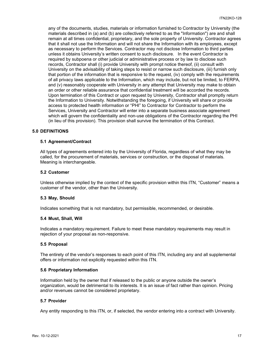any of the documents, studies, materials or information furnished to Contractor by University (the materials described in (a) and (b) are collectively referred to as the "Information") are and shall remain at all times confidential, proprietary, and the sole property of University. Contractor agrees that it shall not use the Information and will not share the Information with its employees, except as necessary to perform the Services. Contractor may not disclose Information to third parties unless it obtains University's written consent to such disclosure. In the event Contractor is required by subpoena or other judicial or administrative process or by law to disclose such records, Contractor shall (i) provide University with prompt notice thereof, (ii) consult with University on the advisability of taking steps to resist or narrow such disclosure, (iii) furnish only that portion of the information that is responsive to the request, (iv) comply with the requirements of all privacy laws applicable to the Information, which may include, but not be limited, to FERPA, and (v) reasonably cooperate with University in any attempt that University may make to obtain an order or other reliable assurance that confidential treatment will be accorded the records. Upon termination of this Contract or upon request by University, Contractor shall promptly return the Information to University. Notwithstanding the foregoing, if University will share or provide access to protected health information or "PHI" to Contractor for Contractor to perform the Services, University and Contractor will enter into a separate business associate agreement which will govern the confidentiality and non-use obligations of the Contractor regarding the PHI (in lieu of this provision). This provision shall survive the termination of this Contract.

#### <span id="page-16-0"></span>**5.0 DEFINITIONS**

#### <span id="page-16-1"></span>**5.1 Agreement/Contract**

All types of agreements entered into by the University of Florida, regardless of what they may be called, for the procurement of materials, services or construction, or the disposal of materials. Meaning is interchangeable.

#### <span id="page-16-2"></span>**5.2 Customer**

Unless otherwise implied by the context of the specific provision within this ITN, "Customer" means a customer of the vendor, other than the University.

# <span id="page-16-3"></span>**5.3 May, Should**

Indicates something that is not mandatory, but permissible, recommended, or desirable.

#### <span id="page-16-4"></span>**5.4 Must, Shall, Will**

Indicates a mandatory requirement. Failure to meet these mandatory requirements may result in rejection of your proposal as non-responsive.

#### <span id="page-16-5"></span>**5.5 Proposal**

The entirety of the vendor's responses to each point of this ITN, including any and all supplemental offers or information not explicitly requested within this ITN.

#### <span id="page-16-6"></span>**5.6 Proprietary Information**

Information held by the owner that if released to the public or anyone outside the owner's organization, would be detrimental to its interests. It is an issue of fact rather than opinion. Pricing and/or revenues cannot be considered proprietary.

# <span id="page-16-7"></span>**5.7 Provider**

Any entity responding to this ITN, or, if selected, the vendor entering into a contract with University.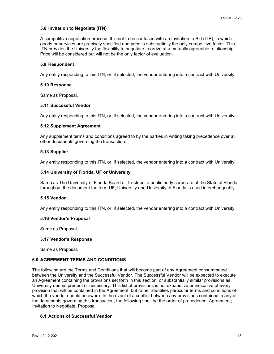# <span id="page-17-0"></span>**5.8 Invitation to Negotiate (ITN)**

A competitive negotiation process. It is not to be confused with an Invitation to Bid (ITB), in which goods or services are precisely specified and price is substantially the only competitive factor. This ITN provides the University the flexibility to negotiate to arrive at a mutually agreeable relationship. Price will be considered but will not be the only factor of evaluation.

#### <span id="page-17-1"></span>**5.9 Respondent**

Any entity responding to this ITN, or, if selected, the vendor entering into a contract with University.

#### <span id="page-17-2"></span>**5.10 Response**

Same as Proposal.

#### <span id="page-17-3"></span>**5.11 Successful Vendor**

Any entity responding to this ITN, or, if selected, the vendor entering into a contract with University.

#### <span id="page-17-4"></span>**5.12 Supplement Agreement**

Any supplement terms and conditions agreed to by the parties in writing taking precedence over all other documents governing the transaction.

#### <span id="page-17-5"></span>**5.13 Supplier**

Any entity responding to this ITN, or, if selected, the vendor entering into a contract with University.

# <span id="page-17-6"></span>**5.14 University of Florida, UF or University**

Same as The University of Florida Board of Trustees, a public body corporate of the State of Florida; throughout the document the term UF, University and University of Florida is used interchangeably.

# <span id="page-17-7"></span>**5.15 Vendor**

Any entity responding to this ITN, or, if selected, the vendor entering into a contract with University.

# <span id="page-17-8"></span>**5.16 Vendor's Proposal**

Same as Proposal.

#### <span id="page-17-9"></span>**5.17 Vendor's Response**

Same as Proposal.

# <span id="page-17-10"></span>**6.0 AGREEMENT TERMS AND CONDITIONS**

The following are the Terms and Conditions that will become part of any Agreement consummated between the University and the Successful Vendor. The Successful Vendor will be expected to execute an Agreement containing the provisions set forth in this section, or substantially similar provisions as University deems prudent or necessary. This list of provisions is not exhaustive or indicative of every provision that will be contained in the Agreement, but rather identifies particular terms and conditions of which the vendor should be aware. In the event of a conflict between any provisions contained in any of the documents governing this transaction, the following shall be the order of precedence: Agreement; Invitation to Negotiate; Proposal.

# <span id="page-17-11"></span>**6.1 Actions of Successful Vendor**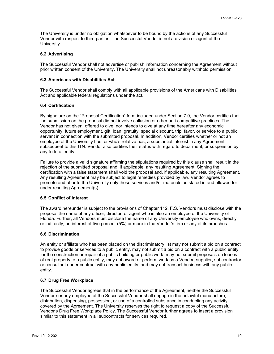The University is under no obligation whatsoever to be bound by the actions of any Successful Vendor with respect to third parties. The Successful Vendor is not a division or agent of the University.

# <span id="page-18-0"></span>**6.2 Advertising**

The Successful Vendor shall not advertise or publish information concerning the Agreement without prior written consent of the University. The University shall not unreasonably withhold permission.

# <span id="page-18-1"></span>**6.3 Americans with Disabilities Act**

The Successful Vendor shall comply with all applicable provisions of the Americans with Disabilities Act and applicable federal regulations under the act.

# <span id="page-18-2"></span>**6.4 Certification**

By signature on the "Proposal Certification" form included under Section 7.0, the Vendor certifies that the submission on the proposal did not involve collusion or other anti-competitive practices. The Vendor has not given, offered to give, nor intends to give at any time hereafter any economic opportunity, future employment, gift, loan, gratuity, special discount, trip, favor, or service to a public servant in connection with the submitted proposal. In addition, Vendor certifies whether or not an employee of the University has, or who's relative has, a substantial interest in any Agreement subsequent to this ITN. Vendor also certifies their status with regard to debarment, or suspension by any federal entity.

Failure to provide a valid signature affirming the stipulations required by this clause shall result in the rejection of the submitted proposal and, if applicable, any resulting Agreement. Signing the certification with a false statement shall void the proposal and, if applicable, any resulting Agreement. Any resulting Agreement may be subject to legal remedies provided by law. Vendor agrees to promote and offer to the University only those services and/or materials as stated in and allowed for under resulting Agreement(s).

# <span id="page-18-3"></span>**6.5 Conflict of Interest**

The award hereunder is subject to the provisions of Chapter 112, F.S. Vendors must disclose with the proposal the name of any officer, director, or agent who is also an employee of the University of Florida. Further, all Vendors must disclose the name of any University employee who owns, directly or indirectly, an interest of five percent (5%) or more in the Vendor's firm or any of its branches.

# <span id="page-18-4"></span>**6.6 Discrimination**

An entity or affiliate who has been placed on the discriminatory list may not submit a bid on a contract to provide goods or services to a public entity, may not submit a bid on a contract with a public entity for the construction or repair of a public building or public work, may not submit proposals on leases of real property to a public entity, may not award or perform work as a Vendor, supplier, subcontractor or consultant under contract with any public entity, and may not transact business with any public entity.

# <span id="page-18-5"></span>**6.7 Drug Free Workplace**

The Successful Vendor agrees that in the performance of the Agreement, neither the Successful Vendor nor any employee of the Successful Vendor shall engage in the unlawful manufacture, distribution, dispensing, possession, or use of a controlled substance in conducting any activity covered by the Agreement. The University reserves the right to request a copy of the Successful Vendor's Drug Free Workplace Policy. The Successful Vendor further agrees to insert a provision similar to this statement in all subcontracts for services required.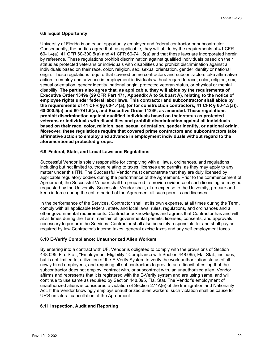# <span id="page-19-0"></span>**6.8 Equal Opportunity**

University of Florida is an equal opportunity employer and federal contractor or subcontractor. Consequently, the parties agree that, as applicable, they will abide by the requirements of 41 CFR  $60-1.4(a)$ , 41 CFR  $60-300.5(a)$  and 41 CFR  $60-741.5(a)$  and that these laws are incorporated herein by reference. These regulations prohibit discrimination against qualified individuals based on their status as protected veterans or individuals with disabilities and prohibit discrimination against all individuals based on their race, color, religion, sex, sexual orientation, gender identity or national origin. These regulations require that covered prime contractors and subcontractors take affirmative action to employ and advance in employment individuals without regard to race, color, religion, sex, sexual orientation, gender identity, national origin, protected veteran status, or physical or mental disability. **The parties also agree that, as applicable, they will abide by the requirements of Executive Order 13496 (29 CFR Part 471, Appendix A to Subpart A), relating to the notice of employee rights under federal labor laws. This contractor and subcontractor shall abide by the requirements of 41 CFR §§ 60-1.4(a), (or for construction contractors, 41 CFR § 60-4.3(a)), 60-300.5(a) and 60-741.5(a), and Executive Order 11246, as amended. These regulations prohibit discrimination against qualified individuals based on their status as protected veterans or individuals with disabilities and prohibit discrimination against all individuals based on their race, color, religion, sex, sexual orientation, gender identity, or national origin. Moreover, these regulations require that covered prime contractors and subcontractors take affirmative action to employ and advance in employment individuals without regard to the aforementioned protected groups.**

#### <span id="page-19-1"></span>**6.9 Federal, State, and Local Laws and Regulations**

Successful Vendor is solely responsible for complying with all laws, ordinances, and regulations including but not limited to, those relating to taxes, licenses and permits, as they may apply to any matter under this ITN. The Successful Vendor must demonstrate that they are duly licensed by applicable regulatory bodies during the performance of the Agreement. Prior to the commencement of Agreement, the Successful Vendor shall be prepared to provide evidence of such licensing as may be requested by the University. Successful Vendor shall, at no expense to the University, procure and keep in force during the entire period of the Agreement all such permits and licenses.

In the performance of the Services, Contractor shall, at its own expense, at all times during the Term, comply with all applicable federal, state, and local laws, rules, regulations, and ordinances and all other governmental requirements. Contractor acknowledges and agrees that Contractor has and will at all times during the Term maintain all governmental permits, licenses, consents, and approvals necessary to perform the Services. Contractor shall also be solely responsible for and shall pay as required by law Contractor's income taxes, general excise taxes and any self-employment taxes.

# <span id="page-19-2"></span>**6.10 E-Verify Compliance; Unauthorized Alien Workers**

By entering into a contract with UF, Vendor is obligated to comply with the provisions of Section 448.095, Fla. Stat., "Employment Eligibility." Compliance with Section 448.095, Fla. Stat., includes, but is not limited to, utilization of the E-Verify System to verify the work authorization status of all newly hired employees, and requiring all subcontractors to provide an affidavit attesting that the subcontractor does not employ, contract with, or subcontract with, an unauthorized alien. Vendor affirms and represents that it is registered with the E-Verify system and are using same, and will continue to use same as required by Section 448.095, Fla. Stat. The Vendor's employment of unauthorized aliens is considered a violation of Section 274A(e) of the Immigration and Nationality Act. If the Vendor knowingly employs unauthorized alien workers, such violation shall be cause for UF'S unilateral cancellation of the Agreement.

# <span id="page-19-3"></span>**6.11 Inspection, Audit and Reporting**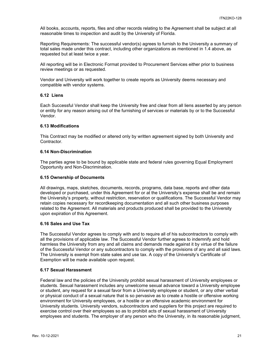All books, accounts, reports, files and other records relating to the Agreement shall be subject at all reasonable times to inspection and audit by the University of Florida.

Reporting Requirements: The successful vendor(s) agrees to furnish to the University a summary of total sales made under this contract, including other organizations as mentioned in 1.4 above, as requested but at least twice a year.

All reporting will be in Electronic Format provided to Procurement Services either prior to business review meetings or as requested.

Vendor and University will work together to create reports as University deems necessary and compatible with vendor systems.

#### <span id="page-20-0"></span>**6.12 Liens**

Each Successful Vendor shall keep the University free and clear from all liens asserted by any person or entity for any reason arising out of the furnishing of services or materials by or to the Successful Vendor.

#### <span id="page-20-1"></span>**6.13 Modifications**

This Contract may be modified or altered only by written agreement signed by both University and Contractor.

#### <span id="page-20-2"></span>**6.14 Non-Discrimination**

The parties agree to be bound by applicable state and federal rules governing Equal Employment Opportunity and Non-Discrimination.

#### <span id="page-20-3"></span>**6.15 Ownership of Documents**

All drawings, maps, sketches, documents, records, programs, data base, reports and other data developed or purchased, under this Agreement for or at the University's expense shall be and remain the University's property, without restriction, reservation or qualifications. The Successful Vendor may retain copies necessary for recordkeeping documentation and all such other business purposes related to the Agreement. All materials and products produced shall be provided to the University upon expiration of this Agreement.

# <span id="page-20-4"></span>**6.16 Sales and Use Tax**

The Successful Vendor agrees to comply with and to require all of his subcontractors to comply with all the provisions of applicable law. The Successful Vendor further agrees to indemnify and hold harmless the University from any and all claims and demands made against it by virtue of the failure of the Successful Vendor or any subcontractors to comply with the provisions of any and all said laws. The University is exempt from state sales and use tax. A copy of the University's Certificate of Exemption will be made available upon request.

# <span id="page-20-5"></span>**6.17 Sexual Harassment**

Federal law and the policies of the University prohibit sexual harassment of University employees or students. Sexual harassment includes any unwelcome sexual advance toward a University employee or student, any request for a sexual favor from a University employee or student, or any other verbal or physical conduct of a sexual nature that is so pervasive as to create a hostile or offensive working environment for University employees, or a hostile or an offensive academic environment for University students. University vendors, subcontractors and suppliers for this project are required to exercise control over their employees so as to prohibit acts of sexual harassment of University employees and students. The employer of any person who the University, in its reasonable judgment,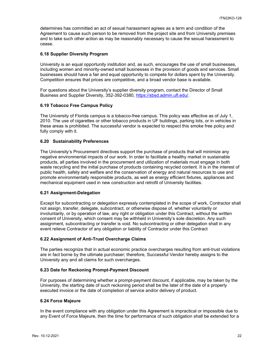determines has committed an act of sexual harassment agrees as a term and condition of the Agreement to cause such person to be removed from the project site and from University premises and to take such other action as may be reasonably necessary to cause the sexual harassment to cease.

# <span id="page-21-0"></span>**6.18 Supplier Diversity Program**

University is an equal opportunity institution and, as such, encourages the use of small businesses, including women and minority-owned small businesses in the provision of goods and services. Small businesses should have a fair and equal opportunity to compete for dollars spent by the University. Competition ensures that prices are competitive, and a broad vendor base is available.

For questions about the University's supplier diversity program, contact the Director of Small Business and Supplier Diversity, 352-392-0380, [https://sbsd.admin.ufl.edu/.](https://sbsd.admin.ufl.edu/)

# <span id="page-21-1"></span>**6.19 Tobacco Free Campus Policy**

The University of Florida campus is a tobacco-free campus. This policy was effective as of July 1, 2010. The use of cigarettes or other tobacco products in UF buildings, parking lots, or in vehicles in these areas is prohibited. The successful vendor is expected to respect this smoke free policy and fully comply with it.

# <span id="page-21-2"></span>**6.20 Sustainability Preferences**

The University's Procurement directives support the purchase of products that will minimize any negative environmental impacts of our work. In order to facilitate a healthy market in sustainable products, all parties involved in the procurement and utilization of materials must engage in both waste recycling and the initial purchase of products containing recycled content. It is in the interest of public health, safety and welfare and the conservation of energy and natural resources to use and promote environmentally responsible products, as well as energy efficient fixtures, appliances and mechanical equipment used in new construction and retrofit of University facilities.

# <span id="page-21-3"></span>**6.21 Assignment-Delegation**

Except for subcontracting or delegation expressly contemplated in the scope of work, Contractor shall not assign, transfer, delegate, subcontract, or otherwise dispose of, whether voluntarily or involuntarily, or by operation of law, any right or obligation under this Contract, without the written consent of University, which consent may be withheld in University's sole discretion. Any such assignment, subcontracting or transfer is void. No subcontracting or other delegation shall in any event relieve Contractor of any obligation or liability of Contractor under this Contract

# <span id="page-21-4"></span>**6.22 Assignment of Anti-Trust Overcharge Claims**

The parties recognize that in actual economic practice overcharges resulting from anti-trust violations are in fact borne by the ultimate purchaser; therefore, Successful Vendor hereby assigns to the University any and all claims for such overcharges.

# <span id="page-21-5"></span>**6.23 Date for Reckoning Prompt-Payment Discount**

For purposes of determining whether a prompt-payment discount, if applicable, may be taken by the University, the starting date of such reckoning period shall be the later of the date of a properly executed invoice or the date of completion of service and/or delivery of product.

# <span id="page-21-6"></span>**6.24 Force Majeure**

In the event compliance with any obligation under this Agreement is impractical or impossible due to any Event of Force Majeure, then the time for performance of such obligation shall be extended for a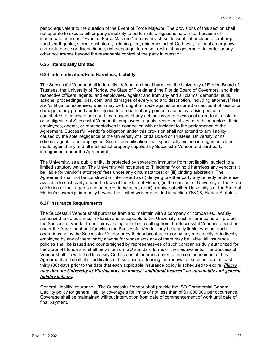period equivalent to the duration of the Event of Force Majeure. The provisions of this section shall not operate to excuse either party's inability to perform its obligations hereunder because of inadequate finances. "Event of Force Majeure:" means any strike, lockout, labor dispute, embargo, flood, earthquake, storm, dust storm, lightning, fire, epidemic, act of God, war, national emergency, civil disturbance or disobedience, riot, sabotage, terrorism, restraint by governmental order or any other occurrence beyond the reasonable control of the party in question.

# <span id="page-22-0"></span>**6.25 Intentionally Omitted**

#### <span id="page-22-1"></span>**6.26 Indemnification/Hold Harmless; Liability**

The Successful Vendor shall indemnify, defend, and hold harmless the University of Florida Board of Trustees, the University of Florida, the State of Florida and the Florida Board of Governors, and their respective officers, agents, and employees, against and from any and all claims, demands, suits, actions, proceedings, loss, cost, and damages of every kind and description, including attorneys' fees and/or litigation expenses, which may be brought or made against or incurred on account of loss of or damage to any property or for injuries to or death of any person, caused by, arising out of, or contributed to, in whole or in part, by reasons of any act, omission, professional error, fault, mistake, or negligence of Successful Vendor, its employees, agents, representatives, or subcontractors, their employees, agents, or representatives in connection with or incident to the performance of the Agreement. Successful Vendor's obligation under this provision shall not extend to any liability caused by the sole negligence of the University of Florida Board of Trustees, University, or its officers, agents, and employees. Such indemnification shall specifically include infringement claims made against any and all intellectual property supplied by Successful Vendor and third-party infringement under the Agreement.

The University, as a public entity, is protected by sovereign immunity from tort liability, subject to a limited statutory waiver. The University will not agree to (i) indemnify or hold harmless any vendor; (ii) be liable for vendor's attorneys' fees under any circumstances; or (iii) binding arbitration. The Agreement shall not be construed or interpreted as (i) denying to either party any remedy or defense available to such party under the laws of the State of Florida; (ii) the consent of University or the State of Florida or their agents and agencies to be sued; or (iii) a waiver of either University's or the State of Florida's sovereign immunity beyond the limited waiver provided in section 768.28, Florida Statutes.

# <span id="page-22-2"></span>**6.27 Insurance Requirements**

The Successful Vendor shall purchase from and maintain with a company or companies, lawfully authorized to do business in Florida and acceptable to the University, such insurance as will protect the Successful Vendor from claims arising out of or resulting from the Successful Vendor's operations under the Agreement and for which the Successful Vendor may be legally liable, whether such operations be by the Successful Vendor or by their subcontractors or by anyone directly or indirectly employed by any of them, or by anyone for whose acts any of them may be liable. All insurance policies shall be issued and countersigned by representatives of such companies duly authorized for the State of Florida and shall be written on ISO standard forms or their equivalents. The Successful Vendor shall file with the University Certificates of Insurance prior to the commencement of this Agreement and shall file Certificates of Insurance evidencing the renewal of such policies at least thirty (30) days prior to the date that each applicable insurance policy is scheduled to expire. *Please note that the University of Florida must be named "additional insured" on automobile and general liability policies.*

General Liability Insurance – The Successful Vendor shall provide the ISO Commercial General Liability policy for general liability coverage's for limits of not less than of \$1,000,000 per occurrence. Coverage shall be maintained without interruption from date of commencement of work until date of final payment.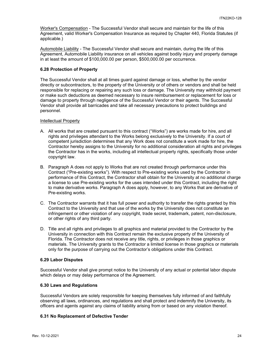Worker's Compensation - The Successful Vendor shall secure and maintain for the life of this Agreement, valid Worker's Compensation Insurance as required by Chapter 440, Florida Statutes (if applicable.)

Automobile Liability - The Successful Vendor shall secure and maintain, during the life of this Agreement, Automobile Liability insurance on all vehicles against bodily injury and property damage in at least the amount of \$100,000.00 per person, \$500,000.00 per occurrence.

# <span id="page-23-0"></span>**6.28 Protection of Property**

The Successful Vendor shall at all times guard against damage or loss, whether by the vendor directly or subcontractors, to the property of the University or of others or vendors and shall be held responsible for replacing or repairing any such loss or damage. The University may withhold payment or make such deductions as deemed necessary to insure reimbursement or replacement for loss or damage to property through negligence of the Successful Vendor or their agents. The Successful Vendor shall provide all barricades and take all necessary precautions to protect buildings and personnel.

# Intellectual Property

- A. All works that are created pursuant to this contract ("Works") are works made for hire, and all rights and privileges attendant to the Works belong exclusively to the University. If a court of competent jurisdiction determines that any Work does not constitute a work made for hire, the Contractor hereby assigns to the University for no additional consideration all rights and privileges the Contractor has in the works, including all intellectual property rights, specifically those under copyright law.
- B. Paragraph A does not apply to Works that are not created through performance under this Contract ("Pre-existing works"). With respect to Pre-existing works used by the Contractor in performance of this Contract, the Contractor shall obtain for the University at no additional charge a license to use Pre-existing works for the uses intended under this Contract, including the right to make derivative works. Paragraph A does apply, however, to any Works that are derivative of Pre-existing works.
- C. The Contractor warrants that it has full power and authority to transfer the rights granted by this Contract to the University and that use of the works by the University does not constitute an infringement or other violation of any copyright, trade secret, trademark, patent, non-disclosure, or other rights of any third party.
- D. Title and all rights and privileges to all graphics and material provided to the Contractor by the University in connection with this Contract remain the exclusive property of the University of Florida. The Contractor does not receive any title, rights, or privileges in those graphics or materials. The University grants to the Contractor a limited license in those graphics or materials only for the purpose of carrying out the Contractor's obligations under this Contract.

# <span id="page-23-1"></span>**6.29 Labor Disputes**

Successful Vendor shall give prompt notice to the University of any actual or potential labor dispute which delays or may delay performance of the Agreement.

# <span id="page-23-2"></span>**6.30 Laws and Regulations**

Successful Vendors are solely responsible for keeping themselves fully informed of and faithfully observing all laws, ordinances, and regulations and shall protect and indemnify the University, its officers and agents against any claims of liability arising from or based on any violation thereof.

# <span id="page-23-3"></span>**6.31 No Replacement of Defective Tender**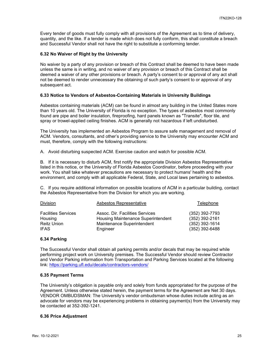Every tender of goods must fully comply with all provisions of the Agreement as to time of delivery, quantity, and the like. If a tender is made which does not fully conform, this shall constitute a breach and Successful Vendor shall not have the right to substitute a conforming tender.

#### <span id="page-24-0"></span>**6.32 No Waiver of Right by the University**

No waiver by a party of any provision or breach of this Contract shall be deemed to have been made unless the same is in writing, and no waiver of any provision or breach of this Contract shall be deemed a waiver of any other provisions or breach. A party's consent to or approval of any act shall not be deemed to render unnecessary the obtaining of such party's consent to or approval of any subsequent act.

#### <span id="page-24-1"></span>**6.33 Notice to Vendors of Asbestos-Containing Materials in University Buildings**

Asbestos containing materials (ACM) can be found in almost any building in the United States more than 10 years old. The University of Florida is no exception. The types of asbestos most commonly found are pipe and boiler insulation, fireproofing, hard panels known as "Transite", floor tile, and spray or trowel-applied ceiling finishes. ACM is generally not hazardous if left undisturbed.

The University has implemented an Asbestos Program to assure safe management and removal of ACM. Vendors, consultants, and other's providing service to the University may encounter ACM and must, therefore, comply with the following instructions:

A. Avoid disturbing suspected ACM. Exercise caution and watch for possible ACM.

B. If it is necessary to disturb ACM, first notify the appropriate Division Asbestos Representative listed in this notice, or the University of Florida Asbestos Coordinator, before proceeding with your work. You shall take whatever precautions are necessary to protect humans' health and the environment, and comply with all applicable Federal, State, and Local laws pertaining to asbestos.

C. If you require additional information on possible locations of ACM in a particular building, contact the Asbestos Representative from the Division for which you are working.

| Division                   | Asbestos Representative            | Telephone        |
|----------------------------|------------------------------------|------------------|
| <b>Facilities Services</b> | Assoc. Dir. Facilities Services    | $(352)$ 392-7793 |
| Housing                    | Housing Maintenance Superintendent | (352) 392-2161   |
| <b>Reitz Union</b>         | Maintenance Superintendent         | $(352)$ 392-1614 |
| <b>IFAS</b>                | Engineer                           | $(352)$ 392-6488 |

# <span id="page-24-2"></span>**6.34 Parking**

The Successful Vendor shall obtain all parking permits and/or decals that may be required while performing project work on University premises. The Successful Vendor should review Contractor and Vendor Parking information from Transportation and Parking Services located at the following link:<https://parking.ufl.edu/decals/contractors-vendors/>

#### <span id="page-24-3"></span>**6.35 Payment Terms**

The University's obligation is payable only and solely from funds appropriated for the purpose of the Agreement. Unless otherwise stated herein, the payment terms for the Agreement are Net 30 days. VENDOR OMBUDSMAN: The University's vendor ombudsman whose duties include acting as an advocate for vendors may be experiencing problems in obtaining payment(s) from the University may be contacted at 352-392-1241.

#### <span id="page-24-4"></span>**6.36 Price Adjustment**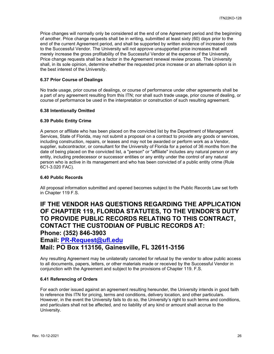Price changes will normally only be considered at the end of one Agreement period and the beginning of another. Price change requests shall be in writing, submitted at least sixty (60) days prior to the end of the current Agreement period, and shall be supported by written evidence of increased costs to the Successful Vendor. The University will not approve unsupported price increases that will merely increase the gross profitability of the Successful Vendor at the expense of the University. Price change requests shall be a factor in the Agreement renewal review process. The University shall, in its sole opinion, determine whether the requested price increase or an alternate option is in the best interest of the University.

# <span id="page-25-0"></span>**6.37 Prior Course of Dealings**

No trade usage, prior course of dealings, or course of performance under other agreements shall be a part of any agreement resulting from this ITN; nor shall such trade usage, prior course of dealing, or course of performance be used in the interpretation or construction of such resulting agreement.

#### <span id="page-25-1"></span>**6.38 Intentionally Omitted**

#### <span id="page-25-2"></span>**6.39 Public Entity Crime**

A person or affiliate who has been placed on the convicted list by the Department of Management Services, State of Florida, may not submit a proposal on a contract to provide any goods or services, including construction, repairs, or leases and may not be awarded or perform work as a Vendor, supplier, subcontractor, or consultant for the University of Florida for a period of 36 months from the date of being placed on the convicted list, a "person" or "affiliate" includes any natural person or any entity, including predecessor or successor entities or any entity under the control of any natural person who is active in its management and who has been convicted of a public entity crime (Rule 6C1-3.020 FAC).

# <span id="page-25-3"></span>**6.40 Public Records**

All proposal information submitted and opened becomes subject to the Public Records Law set forth in Chapter 119 F.S.

# **IF THE VENDOR HAS QUESTIONS REGARDING THE APPLICATION OF CHAPTER 119, FLORIDA STATUTES, TO THE VENDOR'S DUTY TO PROVIDE PUBLIC RECORDS RELATING TO THIS CONTRACT, CONTACT THE CUSTODIAN OF PUBLIC RECORDS AT: Phone: (352) 846-3903**

# **Email: [PR-Request@ufl.edu](mailto:PR-Request@ufl.edu)**

**Mail: PO Box 113156, Gainesville, FL 32611-3156**

Any resulting Agreement may be unilaterally canceled for refusal by the vendor to allow public access to all documents, papers, letters, or other materials made or received by the Successful Vendor in conjunction with the Agreement and subject to the provisions of Chapter 119. F.S.

# <span id="page-25-4"></span>**6.41 Referencing of Orders**

For each order issued against an agreement resulting hereunder, the University intends in good faith to reference this ITN for pricing, terms and conditions, delivery location, and other particulars. However, in the event the University fails to do so, the University's right to such terms and conditions, and particulars shall not be affected, and no liability of any kind or amount shall accrue to the University.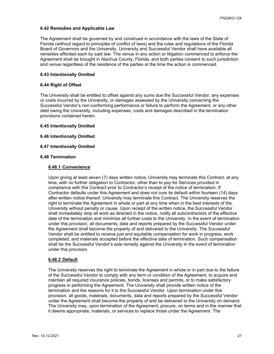#### <span id="page-26-0"></span>**6.42 Remedies and Applicable Law**

The Agreement shall be governed by and construed in accordance with the laws of the State of Florida (without regard to principles of conflict of laws) and the rules and regulations of the Florida Board of Governors and the University. University and Successful Vendor shall have available all remedies afforded each by said law. The venue in any action or litigation commenced to enforce the Agreement shall be brought in Alachua County, Florida, and both parties consent to such jurisdiction and venue regardless of the residence of the parties at the time the action is commenced.

#### <span id="page-26-1"></span>**6.43 Intentionally Omitted**

#### <span id="page-26-2"></span>**6.44 Right of Offset**

The University shall be entitled to offset against any sums due the Successful Vendor, any expenses or costs incurred by the University, or damages assessed by the University concerning the Successful Vendor's non-conforming performance or failure to perform the Agreement, or any other debt owing the University, including expenses, costs and damages described in the termination provisions contained herein.

#### <span id="page-26-3"></span>**6.45 Intentionally Omitted**

- <span id="page-26-4"></span>**6.46 Intentionally Omitted**
- <span id="page-26-5"></span>**6.47 Intentionally Omitted**

#### <span id="page-26-7"></span><span id="page-26-6"></span>**6.48 Termination**

# **6.48.1 Convenience**

Upon giving at least seven (7) days written notice, University may terminate this Contract, at any time, with no further obligation to Contractor, other than to pay for Services provided in compliance with this Contract prior to Contractor's receipt of the notice of termination. If Contractor defaults under this Agreement and does not cure its default within fourteen (14) days after written notice thereof, University may terminate this Contract. The University reserves the right to terminate the Agreement in whole or part at any time when in the best interests of the University without penalty or cause. Upon receipt of the written notice, the Successful Vendor shall immediately stop all work as directed in the notice, notify all subcontractors of the effective date of the termination and minimize all further costs to the University. In the event of termination under this provision, all documents, data and reports prepared by the Successful Vendor under the Agreement shall become the property of and delivered to the University. The Successful Vendor shall be entitled to receive just and equitable compensation for work in progress, work completed, and materials accepted before the effective date of termination. Such compensation shall be the Successful Vendor's sole remedy against the University in the event of termination under this provision.

#### <span id="page-26-8"></span>**6.48.2 Default**

The University reserves the right to terminate the Agreement in whole or in part due to the failure of the Successful Vendor to comply with any term or condition of the Agreement, to acquire and maintain all required insurance policies, bonds, licenses and permits, or to make satisfactory progress in performing the Agreement. The University shall provide written notice of the termination and the reasons for it to the Successful Vendor. Upon termination under this provision, all goods, materials, documents, data and reports prepared by the Successful Vendor under the Agreement shall become the property of and be delivered to the University on demand. The University may, upon termination of the Agreement, procure, on terms and in the manner that it deems appropriate, materials, or services to replace those under the Agreement. The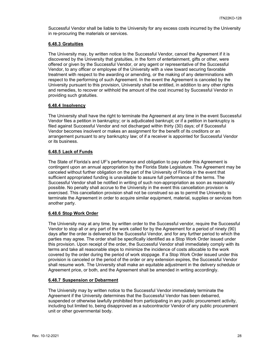Successful Vendor shall be liable to the University for any excess costs incurred by the University in re-procuring the materials or services.

# <span id="page-27-0"></span>**6.48.3 Gratuities**

The University may, by written notice to the Successful Vendor, cancel the Agreement if it is discovered by the University that gratuities, in the form of entertainment, gifts or other, were offered or given by the Successful Vendor, or any agent or representative of the Successful Vendor, to any officer or employee of the University with a view toward securing favorable treatment with respect to the awarding or amending, or the making of any determinations with respect to the performing of such Agreement. In the event the Agreement is canceled by the University pursuant to this provision, University shall be entitled, in addition to any other rights and remedies, to recover or withhold the amount of the cost incurred by Successful Vendor in providing such gratuities.

# <span id="page-27-1"></span>**6.48.4 Insolvency**

The University shall have the right to terminate the Agreement at any time in the event Successful Vendor files a petition in bankruptcy; or is adjudicated bankrupt; or if a petition in bankruptcy is filed against Successful Vendor and not discharged within thirty (30) days; of if Successful Vendor becomes insolvent or makes an assignment for the benefit of its creditors or an arrangement pursuant to any bankruptcy law; of if a receiver is appointed for Successful Vendor or its business.

# <span id="page-27-2"></span>**6.48.5 Lack of Funds**

The State of Florida's and UF's performance and obligation to pay under this Agreement is contingent upon an annual appropriation by the Florida State Legislature. The Agreement may be canceled without further obligation on the part of the University of Florida in the event that sufficient appropriated funding is unavailable to assure full performance of the terms. The Successful Vendor shall be notified in writing of such non-appropriation as soon as reasonably possible. No penalty shall accrue to the University in the event this cancellation provision is exercised. This cancellation provision shall not be construed so as to permit the University to terminate the Agreement in order to acquire similar equipment, material, supplies or services from another party.

# <span id="page-27-3"></span>**6.48.6 Stop Work Order**

The University may at any time, by written order to the Successful vendor, require the Successful Vendor to stop all or any part of the work called for by the Agreement for a period of ninety (90) days after the order is delivered to the Successful Vendor, and for any further period to which the parties may agree. The order shall be specifically identified as a Stop Work Order issued under this provision. Upon receipt of the order, the Successful Vendor shall immediately comply with its terms and take all reasonable steps to minimize the incidence of costs allocable to the work covered by the order during the period of work stoppage. If a Stop Work Order issued under this provision is canceled or the period of the order or any extension expires, the Successful Vendor shall resume work. The University shall make an equitable adjustment in the delivery schedule or Agreement price, or both, and the Agreement shall be amended in writing accordingly.

# <span id="page-27-4"></span>**6.48.7 Suspension or Debarment**

The University may by written notice to the Successful Vendor immediately terminate the Agreement if the University determines that the Successful Vendor has been debarred, suspended or otherwise lawfully prohibited from participating in any public procurement activity, including but limited to, being disapproved as a subcontractor Vendor of any public procurement unit or other governmental body.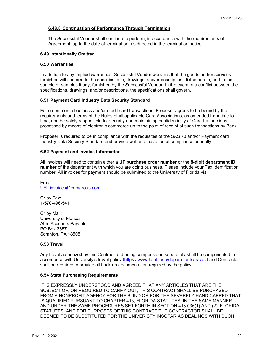# <span id="page-28-0"></span>**6.48.8 Continuation of Performance Through Termination**

The Successful Vendor shall continue to perform, in accordance with the requirements of Agreement, up to the date of termination, as directed in the termination notice.

#### <span id="page-28-1"></span>**6.49 Intentionally Omitted**

#### <span id="page-28-2"></span>**6.50 Warranties**

In addition to any implied warranties, Successful Vendor warrants that the goods and/or services furnished will conform to the specifications, drawings, and/or descriptions listed herein, and to the sample or samples if any, furnished by the Successful Vendor. In the event of a conflict between the specifications, drawings, and/or descriptions, the specifications shall govern.

# <span id="page-28-3"></span>**6.51 Payment Card Industry Data Security Standard**

For e-commerce business and/or credit card transactions, Proposer agrees to be bound by the requirements and terms of the Rules of all applicable Card Associations, as amended from time to time, and be solely responsible for security and maintaining confidentiality of Card transactions processed by means of electronic commerce up to the point of receipt of such transactions by Bank.

Proposer is required to be in compliance with the requisites of the SAS 70 and/or Payment card Industry Data Security Standard and provide written attestation of compliance annually.

#### <span id="page-28-4"></span>**6.52 Payment and Invoice Information**

All invoices will need to contain either a **UF purchase order number** or the **8-digit department ID number** of the department with which you are doing business. Please include your Tax Identification number. All invoices for payment should be submitted to the University of Florida via:

Email: [UFL.invoices@edmgroup.com](mailto:UFL.invoices@edmgroup.com)

Or by Fax: 1-570-496-5411

Or by Mail: University of Florida Attn: Accounts Payable PO Box 3357 Scranton, PA 18505

# <span id="page-28-5"></span>**6.53 Travel**

Any travel authorized by this Contract and being compensated separately shall be compensated in accordance with University's travel policy [\(https://www.fa.ufl.edu/departments/travel/\)](https://www.fa.ufl.edu/departments/travel/) and Contractor shall be required to provide all back-up documentation required by the policy.

#### <span id="page-28-6"></span>**6.54 State Purchasing Requirements**

IT IS EXPRESSLY UNDERSTOOD AND AGREED THAT ANY ARTICLES THAT ARE THE SUBJECT OF, OR REQUIRED TO CARRY OUT, THIS CONTRACT SHALL BE PURCHASED FROM A NONPROFIT AGENCY FOR THE BLIND OR FOR THE SEVERELY HANDICAPPED THAT IS QUALIFIED PURSUANT TO CHAPTER 413, FLORIDA STATUTES, IN THE SAME MANNER AND UNDER THE SAME PROCEDURES SET FORTH IN SECTION 413.036(1) AND (2), FLORIDA STATUTES; AND FOR PURPOSES OF THIS CONTRACT THE CONTRACTOR SHALL BE DEEMED TO BE SUBSTITUTED FOR THE UNIVERISTY INSOFAR AS DEALINGS WITH SUCH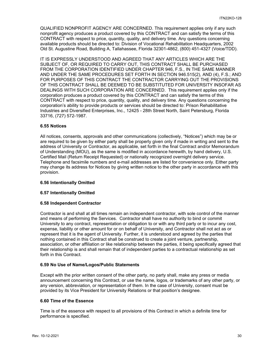QUALIFIED NONPROFIT AGENCY ARE CONCERNED. This requirement applies only if any such nonprofit agency produces a product covered by this CONTRACT and can satisfy the terms of this CONTRACT with respect to price, quantity, quality, and delivery time. Any questions concerning available products should be directed to: Division of Vocational Rehabilitation Headquarters, 2002 Old St. Augustine Road, Building A, Tallahassee, Florida 32301-4862, (800) 451-4327 (Voice/TDD).

IT IS EXPRESSLY UNDERSTOOD AND AGREED THAT ANY ARTICLES WHICH ARE THE SUBJECT OF, OR REQUIRED TO CARRY OUT, THIS CONTRACT SHALL BE PURCHASED FROM THE CORPORATION IDENTIFIED UNDER CHAPTER 946, F.S., IN THE SAME MANNER AND UNDER THE SAME PROCEDURES SET FORTH IN SECTION 946.515(2), AND (4), F.S.; AND FOR PURPOSES OF THIS CONTRACT THE CONTRACTOR CARRYING OUT THE PROVISIONS OF THIS CONTRACT SHALL BE DEEMED TO BE SUBSTITUTED FOR UNIVERSITY INSOFAR AS DEALINGS WITH SUCH CORPORATION ARE CONCERNED. This requirement applies only if the corporation produces a product covered by this CONTRACT and can satisfy the terms of this CONTRACT with respect to price, quantity, quality, and delivery time. Any questions concerning the corporation's ability to provide products or services should be directed to: Prison Rehabilitative Industries and Diversified Enterprises, Inc., 12425 - 28th Street North, Saint Petersburg, Florida 33716, (727) 572-1987.

# <span id="page-29-0"></span>**6.55 Notices**

All notices, consents, approvals and other communications (collectively, "Notices") which may be or are required to be given by either party shall be properly given only if made in writing and sent to the address of University or Contractor, as applicable, set forth in the final Contract and/or Memorandum of Understanding (MOU), as the same is modified in accordance herewith, by hand delivery, U.S. Certified Mail (Return Receipt Requested) or nationally recognized overnight delivery service. Telephone and facsimile numbers and e-mail addresses are listed for convenience only. Either party may change its address for Notices by giving written notice to the other party in accordance with this provision.

# <span id="page-29-1"></span>**6.56 Intentionally Omitted**

# <span id="page-29-2"></span>**6.57 Intentionally Omitted**

# <span id="page-29-3"></span>**6.58 Independent Contractor**

Contractor is and shall at all times remain an independent contractor, with sole control of the manner and means of performing the Services. Contractor shall have no authority to bind or commit University to any contract, representation or obligation to or with any third party or to incur any cost, expense, liability or other amount for or on behalf of University, and Contractor shall not act as or represent that it is the agent of University. Further, it is understood and agreed by the parties that nothing contained in this Contract shall be construed to create a joint venture, partnership, association, or other affiliation or like relationship between the parties, it being specifically agreed that their relationship is and shall remain that of independent parties to a contractual relationship as set forth in this Contract.

# <span id="page-29-4"></span>**6.59 No Use of Name/Logos/Public Statements**

Except with the prior written consent of the other party, no party shall, make any press or media announcement concerning this Contract, or use the name, logos, or trademarks of any other party, or any version, abbreviation, or representation of them. In the case of University, consent must be provided by its Vice President for University Relations or that position's designee.

# <span id="page-29-5"></span>**6.60 Time of the Essence**

Time is of the essence with respect to all provisions of this Contract in which a definite time for performance is specified.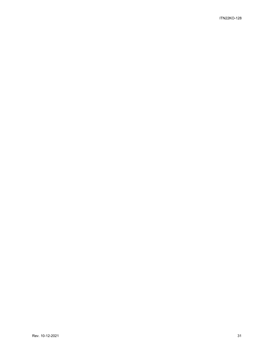ITN22KO-128